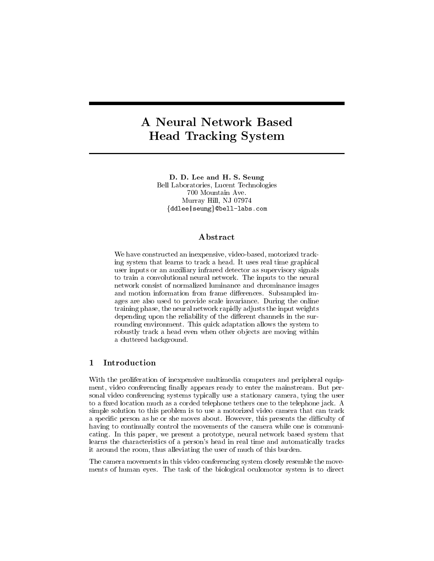# **A Neural Network Based** Head Tracking System

D. D. Lee and H. S. Seung Bell Laboratories, Lucent Technologies 700 Mountain Ave. Murray Hill, NJ 07974  $\{ddlee|seung\}$ @bell-labs.com

#### Abstract

We have constructed an inexpensive, video-based, motorized tracking system that learns to track a head. It uses real time graphical user inputs or an auxiliary infrared detector as supervisory signals to train a convolutional neural network. The inputs to the neural network consist of normalized luminance and chrominance images and motion information from frame differences. Subsampled images are also used to provide scale invariance. During the online training phase, the neural network rapidly adjusts the input weights depending upon the reliability of the different channels in the surrounding environment. This quick adaptation allows the system to robustly track a head even when other objects are moving within a cluttered background.

#### **Introduction**  $\mathbf{1}$

With the proliferation of inexpensive multimedia computers and peripheral equipment, video conferencing finally appears ready to enter the mainstream. But personal video conferencing systems typically use a stationary camera, tying the user to a fixed location much as a corded telephone tethers one to the telephone jack. A simple solution to this problem is to use a motorized video camera that can track a specific person as he or she moves about. However, this presents the difficulty of having to continually control the movements of the camera while one is communicating. In this paper, we present a prototype, neural network based system that learns the characteristics of a person's head in real time and automatically tracks it around the room, thus alleviating the user of much of this burden.

The camera movements in this video conferencing system closely resemble the movements of human eyes. The task of the biological oculomotor system is to direct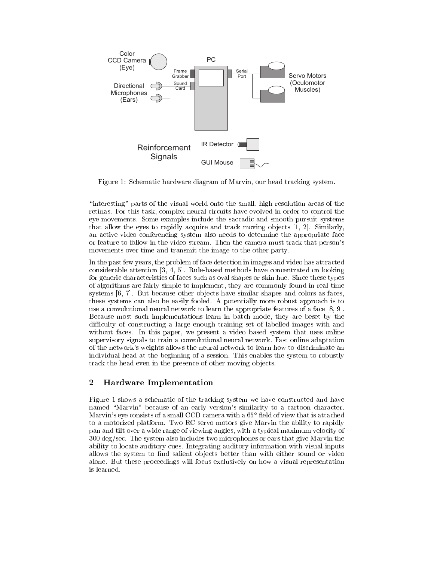

Figure 1: Schematic hardware diagram of Marvin, our head tracking system.

\interesting" parts of the visual world onto the small, high resolution areas of the retinas. For this task, complex neural circuits have evolved in order to control the eye movements. Some examples include the saccadic and smooth pursuit systems that allow the eyes to rapidly acquire and track moving objects  $[1, 2]$ . Similarly, an active video conferencing system also needs to determine the appropriate face or feature to follow in the video stream. Then the camera must track that person's movements over time and transmit the image to the other party.

In the past few years, the problem of face detection in images and video has attracted considerable attention [3, 4, 5]. Rule-based methods have concentrated on looking for generic characteristics of faces such as oval shapes or skin hue. Since these types of algorithms are fairly simple to implement, they are commonly found in real-time systems [6, 7]. But because other ob jects have similar shapes and colors as faces, these systems can also be easily fooled. A potentially more robust approach is to use a convolutional neural network to learn the appropriate features of a face [8, 9]. Because most such implementations learn in batch mode, they are beset by the difficulty of constructing a large enough training set of labelled images with and without faces. In this paper, we present a video based system that uses online supervisory signals to train a convolutional neural network. Fast online adaptation of the network's weights allows the neural network to learn how to discriminate an individual head at the beginning of a session. This enables the system to robustly track the head even in the presence of other moving ob jects.

# 2 Hardware Implementation

Figure 1 shows a schematic of the tracking system we have constructed and have named "Marvin" because of an early version's similarity to a cartoon character. Marvin's eye consists of a small CCD camera with a  $65^{\circ}$  field of view that is attached to a motorized platform. Two RC servo motors give Marvin the ability to rapidly pan and tilt over a wide range of viewing angles, with a typical maximum velocity of 300 deg/sec. The system also includes two microphones or ears that give Marvin the ability to locate auditory cues. Integrating auditory information with visual inputs allows the system to find salient objects better than with either sound or video alone. But these proceedings will focus exclusively on how a visual representation is learned.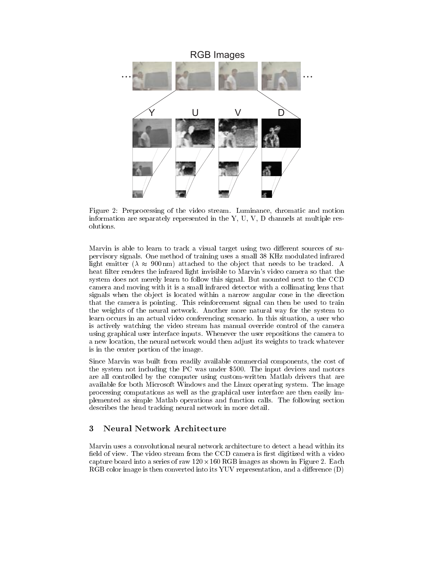

Figure 2: Preprocessing of the video stream. Luminance, chromatic and motion information are separately represented in the Y, U, V, D channels at multiple resolutions.

Marvin is able to learn to track a visual target using two different sources of supervisory signals. One method of training uses a small 38 KHz modulated infrared light emitter ( $\lambda \approx 900 \text{ nm}$ ) attached to the object that needs to be tracked. A heat filter renders the infrared light invisible to Marvin's video camera so that the system does not merely learn to follow this signal. But mounted next to the CCD camera and moving with it is a small infrared detector with a collimating lens that signals when the object is located within a narrow angular cone in the direction that the camera is pointing. This reinforcement signal can then be used to train the weights of the neural network. Another more natural way for the system to learn occurs in an actual video conferencing scenario. In this situation, a user who is actively watching the video stream has manual override control of the camera using graphical user interface inputs. Whenever the user repositions the camera to a new location, the neural network would then adjust its weights to track whatever is in the center portion of the image.

Since Marvin was built from readily available commercial components, the cost of the system not including the PC was under \$500. The input devices and motors are all controlled by the computer using custom-written Matlab drivers that are available for both Microsoft Windows and the Linux operating system. The image processing computations as well as the graphical user interface are then easily implemented as simple Matlab operations and function calls. The following section describes the head tracking neural network in more detail.

# 3 Neural Network Architecture

Marvin uses a convolutional neural network architecture to detect a head within its field of view. The video stream from the CCD camera is first digitized with a video capture board into a series of raw  $120 \times 160 \text{ K}$ GB images as shown in Figure 2. Each  $RGB$  color image is then converted into its YUV representation, and a difference  $(D)$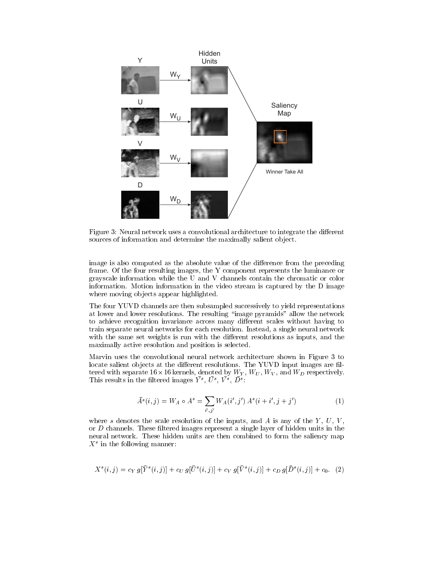

Figure 3: Neural network uses a convolutional architecture to integrate the different sources of information and determine the maximally salient object.

image is also computed as the absolute value of the difference from the preceding frame. Of the four resulting images, the Y component represents the luminance or grayscale information while the U and V channels contain the chromatic or color information. Motion information in the video stream is captured by the D image where moving objects appear highlighted.

The four YUVD channels are then subsampled successively to yield representations at lower and lower resolutions. The resulting \image pyramids" allow the network to achieve recognition invariance across many different scales without having to train separate neural networks for each resolution. Instead, a single neural network with the same set weights is run with the different resolutions as inputs, and the maximally active resolution and position is selected.

Marvin uses the convolutional neural network architecture shown in Figure 3 to locate salient objects at the different resolutions. The YUVD input images are filtered with separate 16  $\times$  16 kernels, denoted by  $W_Y,~W_U,~W_V,$  and  $W_D$  respectively. I ms results in the intered images  $Y^*, U^*, V^*, D^*$ :

$$
\bar{A}^s(i,j) = W_A \circ A^s = \sum_{i',j'} W_A(i',j') A^s(i+i',j+j')
$$
 (1)

where s denotes the scale resolution of the inputs, and A is any of the  $Y, U, V,$ or  $D$  channels. These filtered images represent a single layer of hidden units in the neural network. These hidden units are then combined to form the saliency map  $\Lambda^+$  in the following manner:

$$
X^{s}(i,j) = c_{Y} g[\bar{Y}^{s}(i,j)] + c_{U} g[\bar{U}^{s}(i,j)] + c_{V} g[\bar{V}^{s}(i,j)] + c_{D} g[\bar{D}^{s}(i,j)] + c_{0} (2)
$$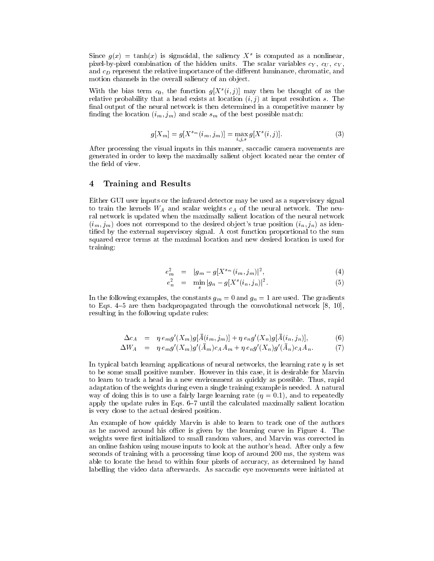Since  $g(x) = \tan(x)$  is sigmoidal, the safiency  $\Lambda$  is computed as a nonlinear, pixel-by-pixel combination of the hidden units. The scalar variables cY , cU , cV , and  $c_D$  represent the relative importance of the different luminance, chromatic, and motion channels in the overall saliency of an ob ject.

With the bias term  $c_0$ , the function  $g[X^s(i, j)]$  may then be thought of as the relative probability that a head exists at location  $(i, j)$  at input resolution s. The final output of the neural network is then determined in a competitive manner by finding the location  $(i_m, j_m)$  and scale  $s_m$  of the best possible match:

$$
g[X_m] = g[X^{s_m}(i_m, j_m)] = \max_{i,j,s} g[X^s(i,j)].
$$
\n(3)

After processing the visual inputs in this manner, saccadic camera movements are generated in order to keep the maximally salient ob ject located near the center of the field of view.

#### 4 Training and Results

Either GUI user inputs or the infrared detector may be used as a supervisory signal to train the kernels  $W_A$  and scalar weights  $c_A$  of the neural network. The neural network is updated when the maximally salient location of the neural network  $(i_m, j_m)$  does not correspond to the desired object's true position  $(i_n, j_n)$  as identied by the external supervisory signal. A cost function proportional to the sum squared error terms at the maximal location and new desired location is used for training:

$$
e_m^2 = |g_m - g[X^{s_m}(i_m, j_m)]^2, \tag{4}
$$

$$
e_n^2 = \min |g_n - g[X^s(i_n, j_n)]^2.
$$
 (5)

In the following examples, the constants  $g_m = 0$  and  $g_n = 1$  are used. The gradients to Eqs. 4-5 are then backpropagated through the convolutional network  $[8, 10]$ , resulting in the following update rules:

$$
\Delta c_A = \eta e_m g'(X_m) g[\bar{A}(i_m, j_m)] + \eta e_n g'(X_n) g[\bar{A}(i_n, j_n)], \tag{6}
$$

$$
\Delta W_A = \eta \, e_m g'(X_m) g'(A_m) c_A A_m + \eta \, e_n g'(X_n) g'(A_n) c_A A_n. \tag{7}
$$

In typical batch learning applications of neural networks, the learning rate  $\eta$  is set to be some small positive number. However in this case, it is desirable for Marvin to learn to track a head in a new environment as quickly as possible. Thus, rapid adaptation of the weights during even a single training example is needed. A natural way of doing this is to use a fairly large learning rate  $(\eta = 0.1)$ , and to repeatedly apply the update rules in Eqs. 6-7 until the calculated maximally salient location is very close to the actual desired position.

An example of how quickly Marvin is able to learn to track one of the authors as he moved around his office is given by the learning curve in Figure 4. The weights were first initialized to small random values, and Marvin was corrected in an online fashion using mouse inputs to look at the author's head. After only a few seconds of training with a processing time loop of around 200 ms, the system was able to locate the head to within four pixels of accuracy, as determined by hand labelling the video data afterwards. As saccadic eye movements were initiated at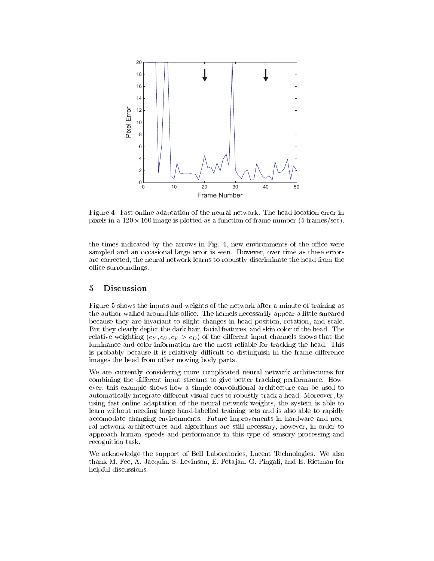

Figure 4: Fast online adaptation of the neural network. The head location error in pixels in a  $120 \times 160$  image is plotted as a function of frame number (5 frames/sec).

the times indicated by the arrows in Fig. 4, new environments of the office were sampled and an occasional large error is seen. However, over time as these errors are corrected, the neural network learns to robustly discriminate the head from the office surroundings.

## 5 Discussion

Figure 5 shows the inputs and weights of the network after a minute of training as the author walked around his office. The kernels necessarily appear a little smeared because they are invariant to slight changes in head position, rotation, and scale. But they clearly depict the dark hair, facial features, and skin color of the head. The relative weighting  $(c_Y, c_U, c_V > c_D)$  of the different input channels shows that the luminance and color information are the most reliable for tracking the head. This is probably because it is relatively difficult to distinguish in the frame difference images the head from other moving body parts.

We are currently considering more complicated neural network architectures for combining the different input streams to give better tracking performance. However, this example shows how a simple convolutional architecture can be used to automatically integrate different visual cues to robustly track a head. Moreover, by using fast online adaptation of the neural network weights, the system is able to learn without needing large hand-labelled training sets and is also able to rapidly accomodate changing environments. Future improvements in hardware and neural network architectures and algorithms are still necessary, however, in order to approach human speeds and performance in this type of sensory processing and recognition task.

We acknowledge the support of Bell Laboratories, Lucent Technologies. We also thank M. Fee, A. Jacquin, S. Levinson, E. Peta jan, G. Pingali, and E. Rietman for helpful discussions.